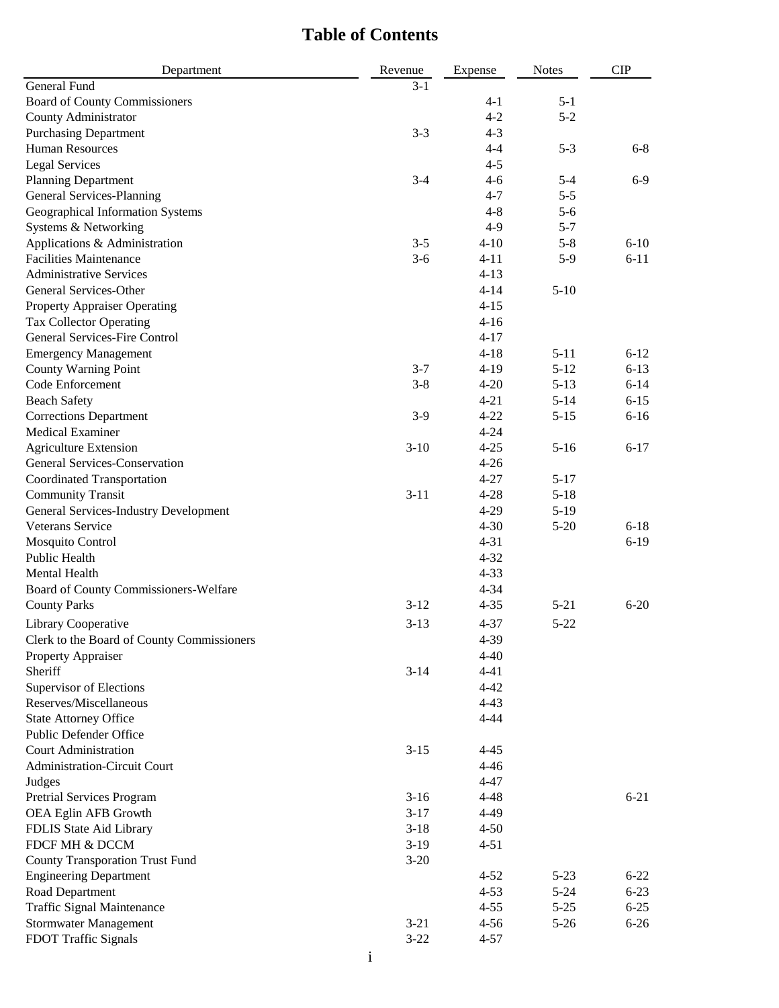## **Table of Contents**

| Department                                 | Revenue  | Expense  | <b>Notes</b> | <b>CIP</b> |
|--------------------------------------------|----------|----------|--------------|------------|
| <b>General Fund</b>                        | $3 - 1$  |          |              |            |
| <b>Board of County Commissioners</b>       |          | $4 - 1$  | $5 - 1$      |            |
| County Administrator                       |          | $4 - 2$  | $5 - 2$      |            |
| <b>Purchasing Department</b>               | $3 - 3$  | $4 - 3$  |              |            |
| <b>Human Resources</b>                     |          | $4 - 4$  | $5 - 3$      | $6 - 8$    |
| <b>Legal Services</b>                      |          | $4 - 5$  |              |            |
| <b>Planning Department</b>                 | $3-4$    | $4 - 6$  | $5 - 4$      | $6-9$      |
| General Services-Planning                  |          | $4 - 7$  | $5 - 5$      |            |
| Geographical Information Systems           |          | $4 - 8$  | $5-6$        |            |
| Systems & Networking                       |          | $4-9$    | $5 - 7$      |            |
| Applications & Administration              | $3 - 5$  | $4 - 10$ | $5 - 8$      | $6 - 10$   |
| <b>Facilities Maintenance</b>              | $3-6$    | $4 - 11$ | $5-9$        | $6 - 11$   |
| <b>Administrative Services</b>             |          | $4 - 13$ |              |            |
| General Services-Other                     |          | $4 - 14$ | $5-10$       |            |
| <b>Property Appraiser Operating</b>        |          | $4 - 15$ |              |            |
| <b>Tax Collector Operating</b>             |          | $4 - 16$ |              |            |
| <b>General Services-Fire Control</b>       |          | $4 - 17$ |              |            |
|                                            |          | $4 - 18$ | $5 - 11$     | $6 - 12$   |
| <b>Emergency Management</b>                |          |          |              |            |
| <b>County Warning Point</b>                | $3 - 7$  | $4-19$   | $5 - 12$     | $6 - 13$   |
| Code Enforcement                           | $3 - 8$  | $4 - 20$ | $5 - 13$     | $6 - 14$   |
| <b>Beach Safety</b>                        |          | $4 - 21$ | $5 - 14$     | $6 - 15$   |
| <b>Corrections Department</b>              | $3-9$    | $4 - 22$ | $5 - 15$     | $6 - 16$   |
| <b>Medical Examiner</b>                    |          | $4 - 24$ |              |            |
| <b>Agriculture Extension</b>               | $3 - 10$ | $4 - 25$ | $5 - 16$     | $6 - 17$   |
| General Services-Conservation              |          | $4 - 26$ |              |            |
| <b>Coordinated Transportation</b>          |          | $4 - 27$ | $5 - 17$     |            |
| <b>Community Transit</b>                   | $3 - 11$ | $4 - 28$ | $5 - 18$     |            |
| General Services-Industry Development      |          | $4 - 29$ | $5-19$       |            |
| Veterans Service                           |          | $4 - 30$ | $5 - 20$     | $6 - 18$   |
| Mosquito Control                           |          | $4 - 31$ |              | $6-19$     |
| Public Health                              |          | $4 - 32$ |              |            |
| Mental Health                              |          | $4 - 33$ |              |            |
| Board of County Commissioners-Welfare      |          | $4 - 34$ |              |            |
| <b>County Parks</b>                        | $3-12$   | $4 - 35$ | $5 - 21$     | $6 - 20$   |
| Library Cooperative                        | $3 - 13$ | $4 - 37$ | $5 - 22$     |            |
| Clerk to the Board of County Commissioners |          | 4-39     |              |            |
| Property Appraiser                         |          | $4 - 40$ |              |            |
| Sheriff                                    | $3 - 14$ | $4 - 41$ |              |            |
| Supervisor of Elections                    |          | $4 - 42$ |              |            |
| Reserves/Miscellaneous                     |          | $4 - 43$ |              |            |
| <b>State Attorney Office</b>               |          | $4 - 44$ |              |            |
| Public Defender Office                     |          |          |              |            |
| <b>Court Administration</b>                |          |          |              |            |
|                                            | $3 - 15$ | $4 - 45$ |              |            |
| Administration-Circuit Court               |          | $4 - 46$ |              |            |
| Judges                                     |          | $4 - 47$ |              |            |
| Pretrial Services Program                  | $3-16$   | $4 - 48$ |              | $6 - 21$   |
| OEA Eglin AFB Growth                       | $3 - 17$ | $4 - 49$ |              |            |
| FDLIS State Aid Library                    | $3-18$   | $4 - 50$ |              |            |
| FDCF MH & DCCM                             | $3-19$   | $4 - 51$ |              |            |
| <b>County Transporation Trust Fund</b>     | $3 - 20$ |          |              |            |
| <b>Engineering Department</b>              |          | $4 - 52$ | $5 - 23$     | $6 - 22$   |
| Road Department                            |          | $4 - 53$ | $5 - 24$     | $6 - 23$   |
| <b>Traffic Signal Maintenance</b>          |          | $4 - 55$ | $5 - 25$     | $6 - 25$   |
| <b>Stormwater Management</b>               | $3 - 21$ | $4 - 56$ | $5 - 26$     | $6 - 26$   |
| FDOT Traffic Signals                       | $3 - 22$ | $4 - 57$ |              |            |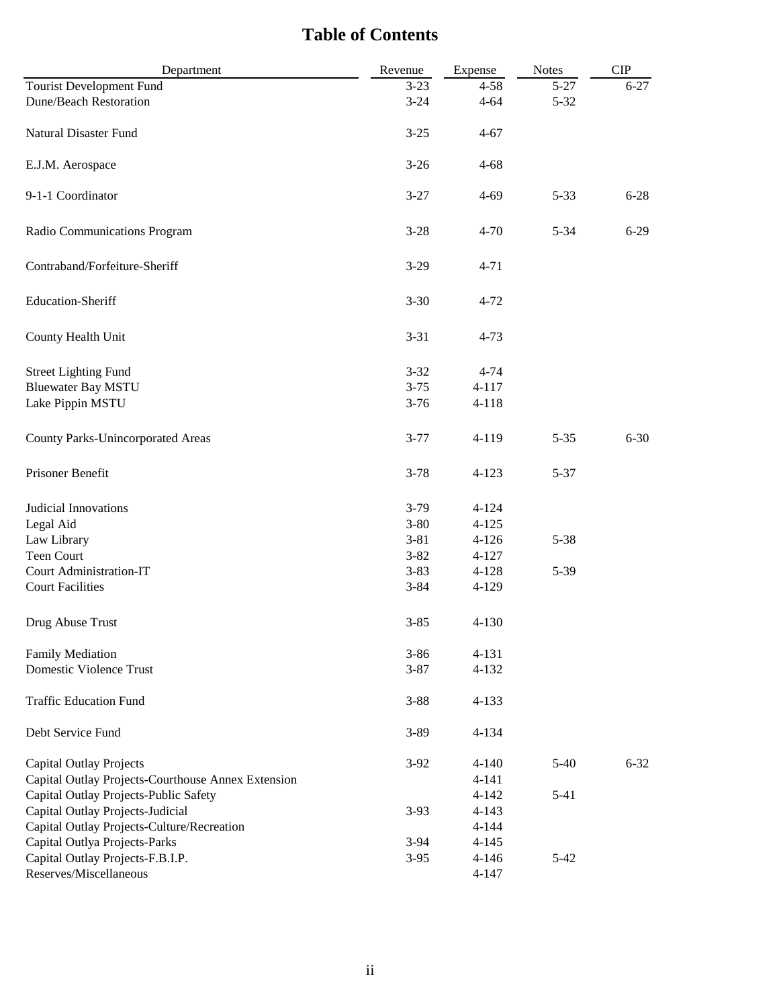## **Table of Contents**

| Department                                         | Revenue  | Expense   | <b>Notes</b> | CIP      |
|----------------------------------------------------|----------|-----------|--------------|----------|
| <b>Tourist Development Fund</b>                    | $3 - 23$ | $4 - 58$  | $5 - 27$     | $6 - 27$ |
| <b>Dune/Beach Restoration</b>                      | $3 - 24$ | $4 - 64$  | $5 - 32$     |          |
| Natural Disaster Fund                              | $3 - 25$ | $4 - 67$  |              |          |
| E.J.M. Aerospace                                   | $3 - 26$ | $4 - 68$  |              |          |
| 9-1-1 Coordinator                                  | $3 - 27$ | $4 - 69$  | $5 - 33$     | $6 - 28$ |
| Radio Communications Program                       | $3 - 28$ | $4 - 70$  | $5 - 34$     | $6-29$   |
| Contraband/Forfeiture-Sheriff                      | $3 - 29$ | $4 - 71$  |              |          |
| Education-Sheriff                                  | $3 - 30$ | $4 - 72$  |              |          |
| County Health Unit                                 | $3 - 31$ | $4 - 73$  |              |          |
| <b>Street Lighting Fund</b>                        | $3 - 32$ | $4 - 74$  |              |          |
| <b>Bluewater Bay MSTU</b>                          | $3 - 75$ | $4 - 117$ |              |          |
| Lake Pippin MSTU                                   | $3 - 76$ | $4 - 118$ |              |          |
| County Parks-Unincorporated Areas                  | $3 - 77$ | 4-119     | $5 - 35$     | $6 - 30$ |
| Prisoner Benefit                                   | $3 - 78$ | $4 - 123$ | $5 - 37$     |          |
| Judicial Innovations                               | $3-79$   | $4 - 124$ |              |          |
| Legal Aid                                          | $3 - 80$ | $4 - 125$ |              |          |
| Law Library                                        | $3 - 81$ | $4 - 126$ | $5 - 38$     |          |
| Teen Court                                         | $3 - 82$ | $4 - 127$ |              |          |
| Court Administration-IT                            | $3 - 83$ | $4 - 128$ | $5-39$       |          |
| <b>Court Facilities</b>                            | $3 - 84$ | $4 - 129$ |              |          |
| Drug Abuse Trust                                   | $3 - 85$ | $4 - 130$ |              |          |
| <b>Family Mediation</b>                            | $3 - 86$ | 4-131     |              |          |
| <b>Domestic Violence Trust</b>                     | $3 - 87$ | $4 - 132$ |              |          |
| <b>Traffic Education Fund</b>                      | $3 - 88$ | $4 - 133$ |              |          |
| Debt Service Fund                                  | $3 - 89$ | $4 - 134$ |              |          |
| <b>Capital Outlay Projects</b>                     | $3-92$   | $4 - 140$ | $5-40$       | $6 - 32$ |
| Capital Outlay Projects-Courthouse Annex Extension |          | $4 - 141$ |              |          |
| Capital Outlay Projects-Public Safety              |          | $4 - 142$ | $5 - 41$     |          |
| Capital Outlay Projects-Judicial                   | $3-93$   | $4 - 143$ |              |          |
| Capital Outlay Projects-Culture/Recreation         |          | $4 - 144$ |              |          |
| Capital Outlya Projects-Parks                      | $3-94$   | $4 - 145$ |              |          |
| Capital Outlay Projects-F.B.I.P.                   | $3-95$   | $4 - 146$ | $5-42$       |          |
| Reserves/Miscellaneous                             |          | $4 - 147$ |              |          |
|                                                    |          |           |              |          |